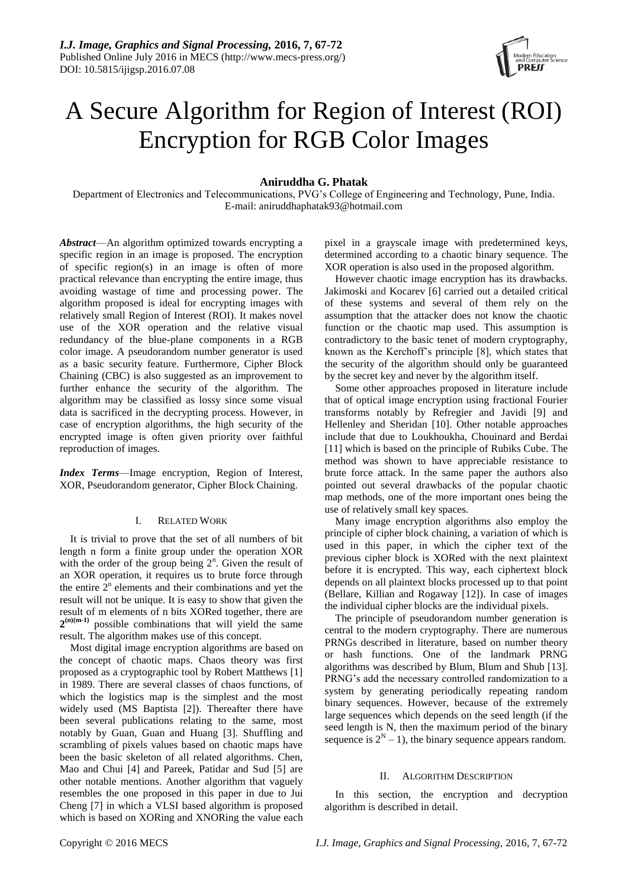

# A Secure Algorithm for Region of Interest (ROI) Encryption for RGB Color Images

# **Aniruddha G. Phatak**

Department of Electronics and Telecommunications, PVG's College of Engineering and Technology, Pune, India. E-mail: aniruddhaphatak93@hotmail.com

*Abstract*—An algorithm optimized towards encrypting a specific region in an image is proposed. The encryption of specific region(s) in an image is often of more practical relevance than encrypting the entire image, thus avoiding wastage of time and processing power. The algorithm proposed is ideal for encrypting images with relatively small Region of Interest (ROI). It makes novel use of the XOR operation and the relative visual redundancy of the blue-plane components in a RGB color image. A pseudorandom number generator is used as a basic security feature. Furthermore, Cipher Block Chaining (CBC) is also suggested as an improvement to further enhance the security of the algorithm. The algorithm may be classified as lossy since some visual data is sacrificed in the decrypting process. However, in case of encryption algorithms, the high security of the encrypted image is often given priority over faithful reproduction of images.

*Index Terms*—Image encryption, Region of Interest, XOR, Pseudorandom generator, Cipher Block Chaining.

## I. RELATED WORK

It is trivial to prove that the set of all numbers of bit length n form a finite group under the operation XOR with the order of the group being  $2<sup>n</sup>$ . Given the result of an XOR operation, it requires us to brute force through the entire  $2<sup>n</sup>$  elements and their combinations and yet the result will not be unique. It is easy to show that given the result of m elements of n bits XORed together, there are  $2^{(n)(m-1)}$  possible combinations that will yield the same result. The algorithm makes use of this concept.

Most digital image encryption algorithms are based on the concept of chaotic maps. Chaos theory was first proposed as a cryptographic tool by Robert Matthews [1] in 1989. There are several classes of chaos functions, of which the logistics map is the simplest and the most widely used (MS Baptista [2]). Thereafter there have been several publications relating to the same, most notably by Guan, Guan and Huang [3]. Shuffling and scrambling of pixels values based on chaotic maps have been the basic skeleton of all related algorithms. Chen, Mao and Chui [4] and Pareek, Patidar and Sud [5] are other notable mentions. Another algorithm that vaguely resembles the one proposed in this paper in due to Jui Cheng [7] in which a VLSI based algorithm is proposed which is based on XORing and XNORing the value each

pixel in a grayscale image with predetermined keys, determined according to a chaotic binary sequence. The XOR operation is also used in the proposed algorithm.

However chaotic image encryption has its drawbacks. Jakimoski and Kocarev [6] carried out a detailed critical of these systems and several of them rely on the assumption that the attacker does not know the chaotic function or the chaotic map used. This assumption is contradictory to the basic tenet of modern cryptography, known as the Kerchoff's principle [8], which states that the security of the algorithm should only be guaranteed by the secret key and never by the algorithm itself.

Some other approaches proposed in literature include that of optical image encryption using fractional Fourier transforms notably by Refregier and Javidi [9] and Hellenley and Sheridan [10]. Other notable approaches include that due to Loukhoukha, Chouinard and Berdai [11] which is based on the principle of Rubiks Cube. The method was shown to have appreciable resistance to brute force attack. In the same paper the authors also pointed out several drawbacks of the popular chaotic map methods, one of the more important ones being the use of relatively small key spaces.

Many image encryption algorithms also employ the principle of cipher block chaining, a variation of which is used in this paper, in which the cipher text of the previous cipher block is XORed with the next plaintext before it is encrypted. This way, each ciphertext block depends on all plaintext blocks processed up to that point (Bellare, Killian and Rogaway [12]). In case of images the individual cipher blocks are the individual pixels.

The principle of pseudorandom number generation is central to the modern cryptography. There are numerous PRNGs described in literature, based on number theory or hash functions. One of the landmark PRNG algorithms was described by Blum, Blum and Shub [13]. PRNG's add the necessary controlled randomization to a system by generating periodically repeating random binary sequences. However, because of the extremely large sequences which depends on the seed length (if the seed length is N, then the maximum period of the binary sequence is  $2^N - 1$ ), the binary sequence appears random.

## II. ALGORITHM DESCRIPTION

In this section, the encryption and decryption algorithm is described in detail.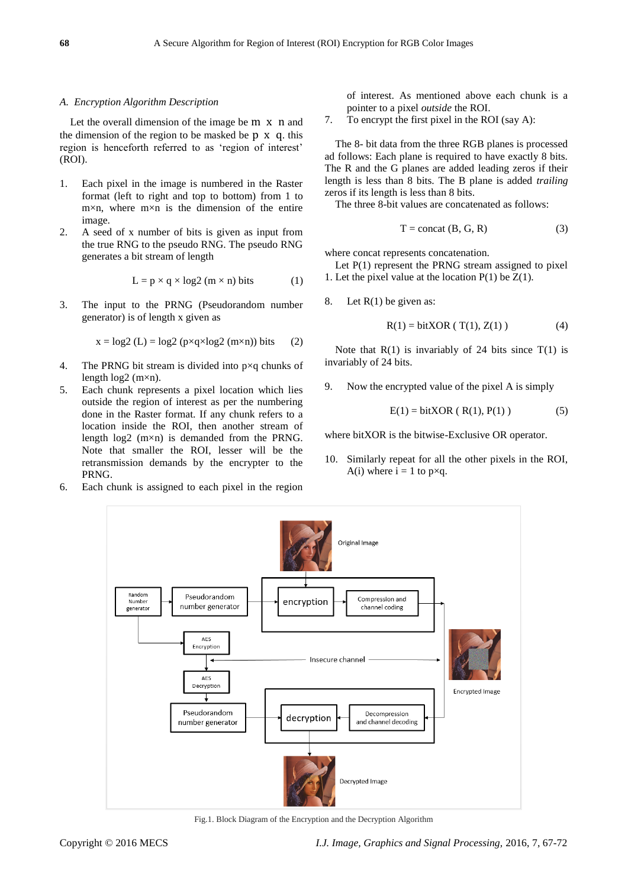## *A. Encryption Algorithm Description*

Let the overall dimension of the image be m x n and the dimension of the region to be masked be  $p \times q$ , this region is henceforth referred to as 'region of interest' (ROI).

- 1. Each pixel in the image is numbered in the Raster format (left to right and top to bottom) from 1 to  $m \times n$ , where  $m \times n$  is the dimension of the entire image.
- 2. A seed of x number of bits is given as input from the true RNG to the pseudo RNG. The pseudo RNG generates a bit stream of length

$$
L = p \times q \times log2 (m \times n) bits
$$
 (1)

3. The input to the PRNG (Pseudorandom number generator) is of length x given as

$$
x = log2 (L) = log2 (p \times q \times log2 (m \times n)) bits
$$
 (2)

- 4. The PRNG bit stream is divided into p×q chunks of length  $log2$  (m $\times$ n).
- 5. Each chunk represents a pixel location which lies outside the region of interest as per the numbering done in the Raster format. If any chunk refers to a location inside the ROI, then another stream of length log2 (m×n) is demanded from the PRNG. Note that smaller the ROI, lesser will be the retransmission demands by the encrypter to the PRNG.
- 6. Each chunk is assigned to each pixel in the region

of interest. As mentioned above each chunk is a pointer to a pixel *outside* the ROI.

7. To encrypt the first pixel in the ROI (say A):

The 8- bit data from the three RGB planes is processed ad follows: Each plane is required to have exactly 8 bits. The R and the G planes are added leading zeros if their length is less than 8 bits. The B plane is added *trailing* zeros if its length is less than 8 bits.

The three 8-bit values are concatenated as follows:

$$
T = \text{concat} (B, G, R) \tag{3}
$$

where concat represents concatenation.

Let P(1) represent the PRNG stream assigned to pixel 1. Let the pixel value at the location  $P(1)$  be  $Z(1)$ .

8. Let  $R(1)$  be given as:

$$
R(1) = \text{bitXOR} (T(1), Z(1))
$$
 (4)

Note that  $R(1)$  is invariably of 24 bits since  $T(1)$  is invariably of 24 bits.

9. Now the encrypted value of the pixel A is simply

$$
E(1) = \text{bitXOR} ( R(1), P(1) )
$$
 (5)

where bitXOR is the bitwise-Exclusive OR operator.

10. Similarly repeat for all the other pixels in the ROI, A(i) where  $i = 1$  to  $p \times q$ .



Fig.1. Block Diagram of the Encryption and the Decryption Algorithm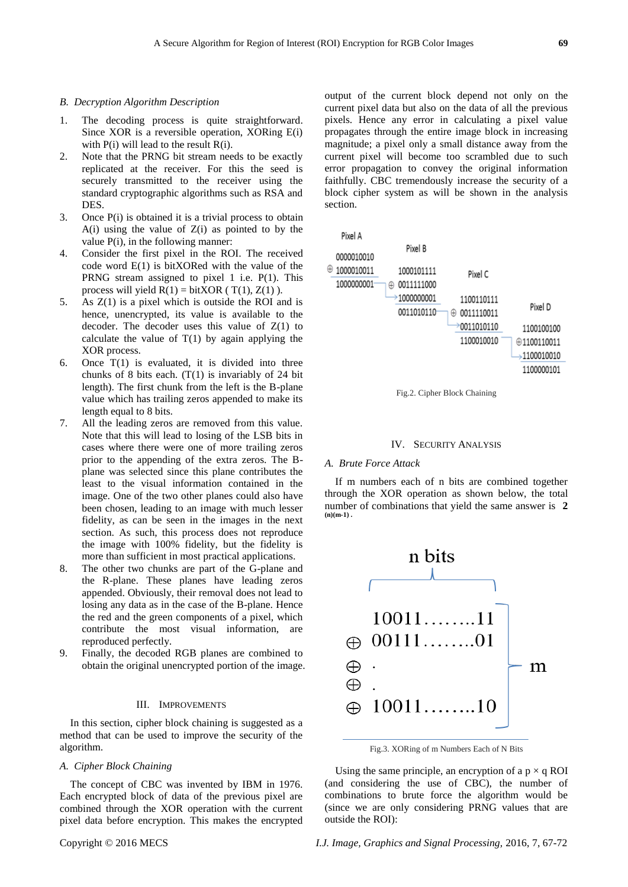## *B. Decryption Algorithm Description*

- 1. The decoding process is quite straightforward. Since XOR is a reversible operation, XORing E(i) with  $P(i)$  will lead to the result  $R(i)$ .
- 2. Note that the PRNG bit stream needs to be exactly replicated at the receiver. For this the seed is securely transmitted to the receiver using the standard cryptographic algorithms such as RSA and DES.
- 3. Once P(i) is obtained it is a trivial process to obtain  $A(i)$  using the value of  $Z(i)$  as pointed to by the value  $P(i)$ , in the following manner:
- 4. Consider the first pixel in the ROI. The received code word E(1) is bitXORed with the value of the PRNG stream assigned to pixel 1 i.e. P(1). This process will yield  $R(1) = \text{bitXOR}$  (T(1), Z(1)).
- 5. As Z(1) is a pixel which is outside the ROI and is hence, unencrypted, its value is available to the decoder. The decoder uses this value of  $Z(1)$  to calculate the value of  $T(1)$  by again applying the XOR process.
- 6. Once  $T(1)$  is evaluated, it is divided into three chunks of 8 bits each.  $(T(1))$  is invariably of 24 bit length). The first chunk from the left is the B-plane value which has trailing zeros appended to make its length equal to 8 bits.
- 7. All the leading zeros are removed from this value. Note that this will lead to losing of the LSB bits in cases where there were one of more trailing zeros prior to the appending of the extra zeros. The Bplane was selected since this plane contributes the least to the visual information contained in the image. One of the two other planes could also have been chosen, leading to an image with much lesser fidelity, as can be seen in the images in the next section. As such, this process does not reproduce the image with 100% fidelity, but the fidelity is more than sufficient in most practical applications.
- 8. The other two chunks are part of the G-plane and the R-plane. These planes have leading zeros appended. Obviously, their removal does not lead to losing any data as in the case of the B-plane. Hence the red and the green components of a pixel, which contribute the most visual information, are reproduced perfectly.
- 9. Finally, the decoded RGB planes are combined to obtain the original unencrypted portion of the image.

#### III. IMPROVEMENTS

In this section, cipher block chaining is suggested as a method that can be used to improve the security of the algorithm.

## *A. Cipher Block Chaining*

The concept of CBC was invented by IBM in 1976. Each encrypted block of data of the previous pixel are combined through the XOR operation with the current pixel data before encryption. This makes the encrypted output of the current block depend not only on the current pixel data but also on the data of all the previous pixels. Hence any error in calculating a pixel value propagates through the entire image block in increasing magnitude; a pixel only a small distance away from the current pixel will become too scrambled due to such error propagation to convey the original information faithfully. CBC tremendously increase the security of a block cipher system as will be shown in the analysis section.



Fig.2. Cipher Block Chaining

## IV. SECURITY ANALYSIS

#### *A. Brute Force Attack*

If m numbers each of n bits are combined together through the XOR operation as shown below, the total number of combinations that yield the same answer is **2**   $(n)(m-1)$ .



Fig.3. XORing of m Numbers Each of N Bits

Using the same principle, an encryption of a  $p \times q$  ROI (and considering the use of CBC), the number of combinations to brute force the algorithm would be (since we are only considering PRNG values that are outside the ROI):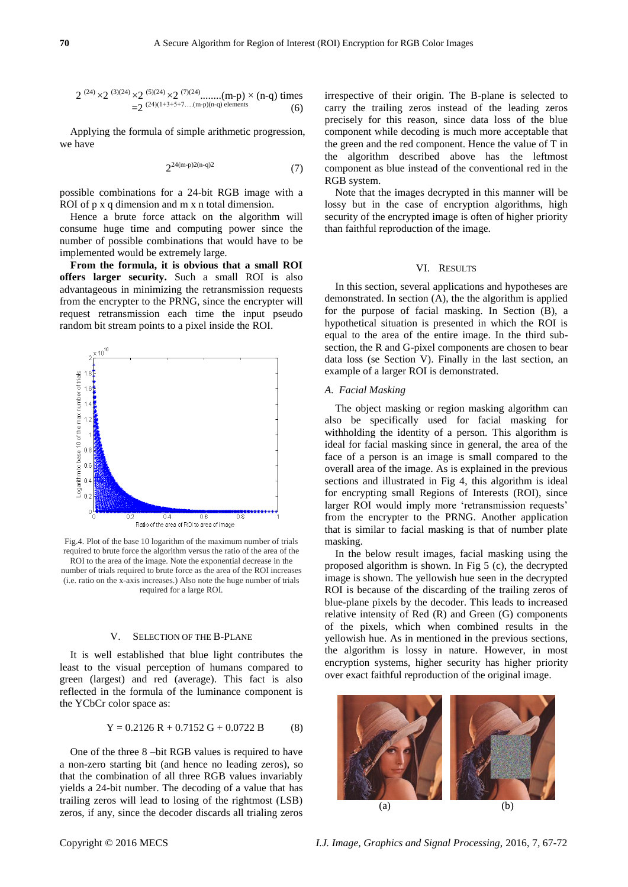$$
2^{(24)} \times 2^{(3)(24)} \times 2^{(5)(24)} \times 2^{(7)(24)} \dots \dots (m-p) \times (n-q) \text{ times}
$$
  
=2<sup>(24)(1+3+5+7....(m-p)(n-q) elements</sup> (6)

Applying the formula of simple arithmetic progression, we have

$$
2^{24(m-p)2(n-q)2} \tag{7}
$$

possible combinations for a 24-bit RGB image with a ROI of p x q dimension and m x n total dimension.

Hence a brute force attack on the algorithm will consume huge time and computing power since the number of possible combinations that would have to be implemented would be extremely large.

**From the formula, it is obvious that a small ROI offers larger security.** Such a small ROI is also advantageous in minimizing the retransmission requests from the encrypter to the PRNG, since the encrypter will request retransmission each time the input pseudo random bit stream points to a pixel inside the ROI.



Fig.4. Plot of the base 10 logarithm of the maximum number of trials required to brute force the algorithm versus the ratio of the area of the ROI to the area of the image. Note the exponential decrease in the number of trials required to brute force as the area of the ROI increases (i.e. ratio on the x-axis increases.) Also note the huge number of trials required for a large ROI.

#### V. SELECTION OF THE B-PLANE

It is well established that blue light contributes the least to the visual perception of humans compared to green (largest) and red (average). This fact is also reflected in the formula of the luminance component is the YCbCr color space as:

$$
Y = 0.2126 R + 0.7152 G + 0.0722 B \tag{8}
$$

One of the three 8 –bit RGB values is required to have a non-zero starting bit (and hence no leading zeros), so that the combination of all three RGB values invariably yields a 24-bit number. The decoding of a value that has trailing zeros will lead to losing of the rightmost (LSB) zeros, if any, since the decoder discards all trialing zeros irrespective of their origin. The B-plane is selected to carry the trailing zeros instead of the leading zeros precisely for this reason, since data loss of the blue component while decoding is much more acceptable that the green and the red component. Hence the value of T in the algorithm described above has the leftmost component as blue instead of the conventional red in the RGB system.

Note that the images decrypted in this manner will be lossy but in the case of encryption algorithms, high security of the encrypted image is often of higher priority than faithful reproduction of the image.

#### VI. RESULTS

In this section, several applications and hypotheses are demonstrated. In section (A), the the algorithm is applied for the purpose of facial masking. In Section (B), a hypothetical situation is presented in which the ROI is equal to the area of the entire image. In the third subsection, the R and G-pixel components are chosen to bear data loss (se Section V). Finally in the last section, an example of a larger ROI is demonstrated.

## *A. Facial Masking*

The object masking or region masking algorithm can also be specifically used for facial masking for withholding the identity of a person. This algorithm is ideal for facial masking since in general, the area of the face of a person is an image is small compared to the overall area of the image. As is explained in the previous sections and illustrated in Fig 4, this algorithm is ideal for encrypting small Regions of Interests (ROI), since larger ROI would imply more 'retransmission requests' from the encrypter to the PRNG. Another application that is similar to facial masking is that of number plate masking.

In the below result images, facial masking using the proposed algorithm is shown. In Fig 5 (c), the decrypted image is shown. The yellowish hue seen in the decrypted ROI is because of the discarding of the trailing zeros of blue-plane pixels by the decoder. This leads to increased relative intensity of Red (R) and Green (G) components of the pixels, which when combined results in the yellowish hue. As in mentioned in the previous sections, the algorithm is lossy in nature. However, in most encryption systems, higher security has higher priority over exact faithful reproduction of the original image.

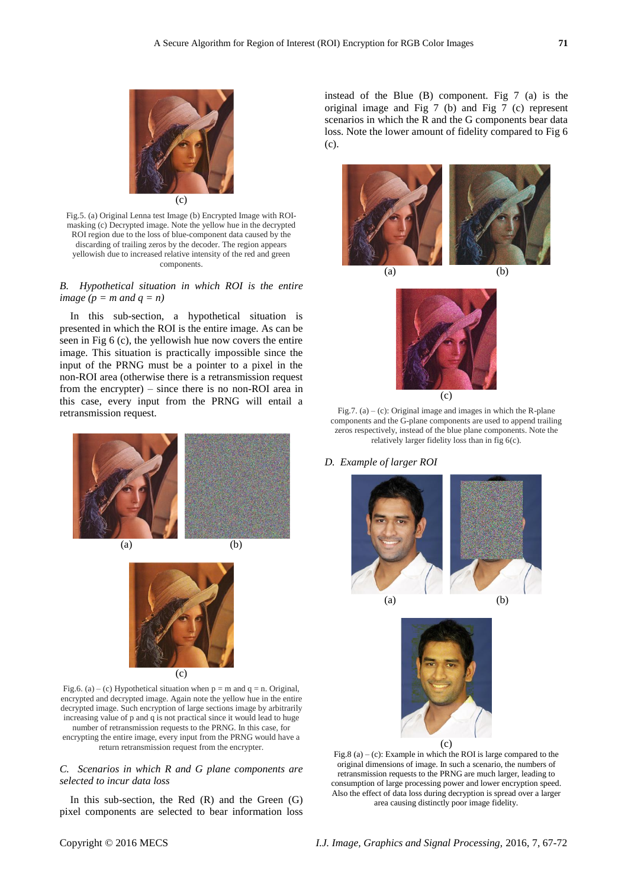

Fig.5. (a) Original Lenna test Image (b) Encrypted Image with ROImasking (c) Decrypted image. Note the yellow hue in the decrypted ROI region due to the loss of blue-component data caused by the discarding of trailing zeros by the decoder. The region appears yellowish due to increased relative intensity of the red and green components.

*B. Hypothetical situation in which ROI is the entire image*  $(p = m \text{ and } q = n)$ 

In this sub-section, a hypothetical situation is presented in which the ROI is the entire image. As can be seen in Fig 6 (c), the yellowish hue now covers the entire image. This situation is practically impossible since the input of the PRNG must be a pointer to a pixel in the non-ROI area (otherwise there is a retransmission request from the encrypter) – since there is no non-ROI area in this case, every input from the PRNG will entail a retransmission request.



(c)

Fig.6. (a) – (c) Hypothetical situation when  $p = m$  and  $q = n$ . Original, encrypted and decrypted image. Again note the yellow hue in the entire decrypted image. Such encryption of large sections image by arbitrarily increasing value of p and q is not practical since it would lead to huge number of retransmission requests to the PRNG. In this case, for encrypting the entire image, every input from the PRNG would have a return retransmission request from the encrypter.

## *C. Scenarios in which R and G plane components are selected to incur data loss*

In this sub-section, the Red  $(R)$  and the Green  $(G)$ pixel components are selected to bear information loss instead of the Blue (B) component. Fig 7 (a) is the original image and Fig 7 (b) and Fig 7 (c) represent scenarios in which the R and the G components bear data loss. Note the lower amount of fidelity compared to Fig 6 (c).





Fig.7. (a) – (c): Original image and images in which the R-plane components and the G-plane components are used to append trailing zeros respectively, instead of the blue plane components. Note the relatively larger fidelity loss than in fig 6(c).

## *D. Example of larger ROI*





Fig.8 (a) – (c): Example in which the ROI is large compared to the original dimensions of image. In such a scenario, the numbers of retransmission requests to the PRNG are much larger, leading to consumption of large processing power and lower encryption speed. Also the effect of data loss during decryption is spread over a larger area causing distinctly poor image fidelity.